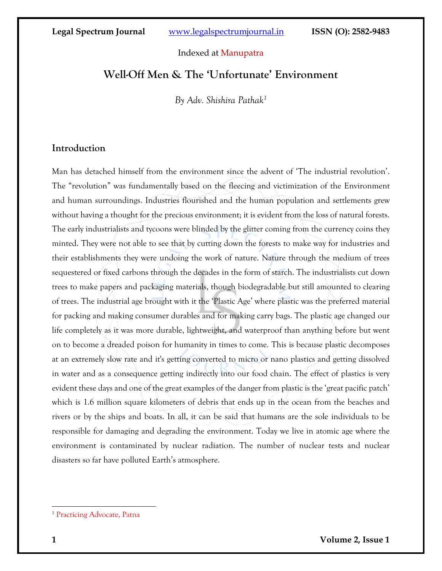## Indexed at Manupatra

## **Well-Off Men & The 'Unfortunate' Environment**

*By Adv. Shishira Pathak<sup>1</sup>*

## **Introduction**

Man has detached himself from the environment since the advent of 'The industrial revolution'. The "revolution" was fundamentally based on the fleecing and victimization of the Environment and human surroundings. Industries flourished and the human population and settlements grew without having a thought for the precious environment; it is evident from the loss of natural forests. The early industrialists and tycoons were blinded by the glitter coming from the currency coins they minted. They were not able to see that by cutting down the forests to make way for industries and their establishments they were undoing the work of nature. Nature through the medium of trees sequestered or fixed carbons through the decades in the form of starch. The industrialists cut down trees to make papers and packaging materials, though biodegradable but still amounted to clearing of trees. The industrial age brought with it the 'Plastic Age' where plastic was the preferred material for packing and making consumer durables and for making carry bags. The plastic age changed our life completely as it was more durable, lightweight, and waterproof than anything before but went on to become a dreaded poison for humanity in times to come. This is because plastic decomposes at an extremely slow rate and it's getting converted to micro or nano plastics and getting dissolved in water and as a consequence getting indirectly into our food chain. The effect of plastics is very evident these days and one of the great examples of the danger from plastic is the 'great pacific patch' which is 1.6 million square kilometers of debris that ends up in the ocean from the beaches and rivers or by the ships and boats. In all, it can be said that humans are the sole individuals to be responsible for damaging and degrading the environment. Today we live in atomic age where the environment is contaminated by nuclear radiation. The number of nuclear tests and nuclear disasters so far have polluted Earth's atmosphere.

<sup>&</sup>lt;sup>1</sup> Practicing Advocate, Patna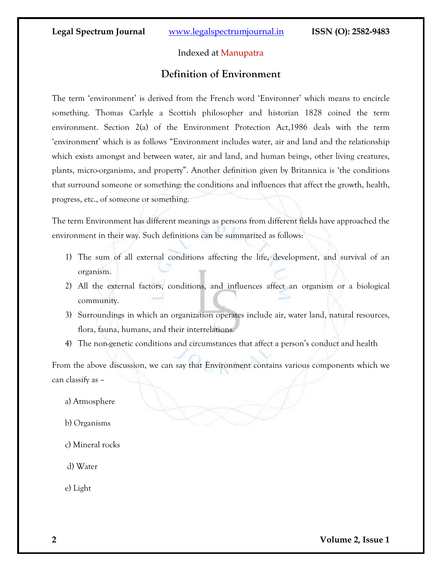## Indexed at Manupatra

## **Definition of Environment**

The term 'environment' is derived from the French word 'Environner' which means to encircle something. Thomas Carlyle a Scottish philosopher and historian 1828 coined the term environment. Section 2(a) of the Environment Protection Act,1986 deals with the term 'environment' which is as follows "Environment includes water, air and land and the relationship which exists amongst and between water, air and land, and human beings, other living creatures, plants, micro-organisms, and property". Another definition given by Britannica is 'the conditions that surround someone or something: the conditions and influences that affect the growth, health, progress, etc., of someone or something.

The term Environment has different meanings as persons from different fields have approached the environment in their way. Such definitions can be summarized as follows:

- 1) The sum of all external conditions affecting the life, development, and survival of an organism.
- 2) All the external factors, conditions, and influences affect an organism or a biological community.
- 3) Surroundings in which an organization operates include air, water land, natural resources, flora, fauna, humans, and their interrelations.
- 4) The non-genetic conditions and circumstances that affect a person's conduct and health

From the above discussion, we can say that Environment contains various components which we can classify as –

- a) Atmosphere
- b) Organisms
- c) Mineral rocks

d) Water

e) Light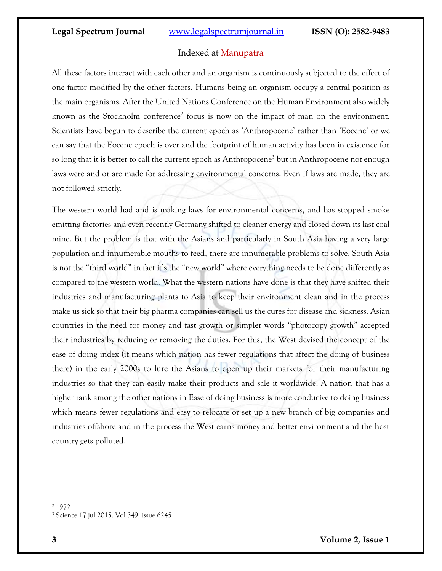#### Indexed at Manupatra

All these factors interact with each other and an organism is continuously subjected to the effect of one factor modified by the other factors. Humans being an organism occupy a central position as the main organisms. After the United Nations Conference on the Human Environment also widely known as the Stockholm conference<sup>2</sup> focus is now on the impact of man on the environment. Scientists have begun to describe the current epoch as 'Anthropocene' rather than 'Eocene' or we can say that the Eocene epoch is over and the footprint of human activity has been in existence for so long that it is better to call the current epoch as Anthropocene<sup>3</sup> but in Anthropocene not enough laws were and or are made for addressing environmental concerns. Even if laws are made, they are not followed strictly.

The western world had and is making laws for environmental concerns, and has stopped smoke emitting factories and even recently Germany shifted to cleaner energy and closed down its last coal mine. But the problem is that with the Asians and particularly in South Asia having a very large population and innumerable mouths to feed, there are innumerable problems to solve. South Asia is not the "third world" in fact it's the "new world" where everything needs to be done differently as compared to the western world. What the western nations have done is that they have shifted their industries and manufacturing plants to Asia to keep their environment clean and in the process make us sick so that their big pharma companies can sell us the cures for disease and sickness. Asian countries in the need for money and fast growth or simpler words "photocopy growth" accepted their industries by reducing or removing the duties. For this, the West devised the concept of the ease of doing index (it means which nation has fewer regulations that affect the doing of business there) in the early 2000s to lure the Asians to open up their markets for their manufacturing industries so that they can easily make their products and sale it worldwide. A nation that has a higher rank among the other nations in Ease of doing business is more conducive to doing business which means fewer regulations and easy to relocate or set up a new branch of big companies and industries offshore and in the process the West earns money and better environment and the host country gets polluted.

<sup>2</sup> 1972

<sup>3</sup> Science.17 jul 2015. Vol 349, issue 6245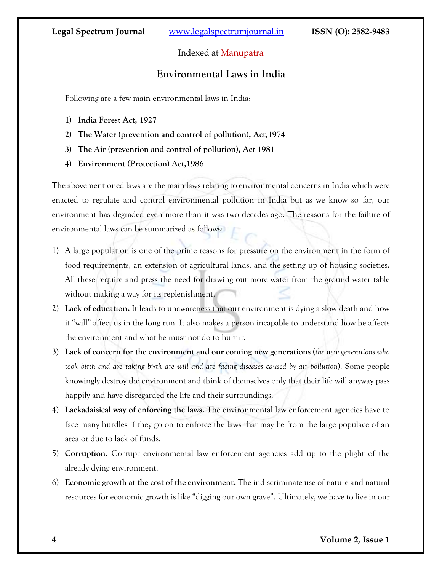## Indexed at Manupatra

## **Environmental Laws in India**

Following are a few main environmental laws in India:

- **1) India Forest Act, 1927**
- **2) The Water (prevention and control of pollution), Act,1974**
- **3) The Air (prevention and control of pollution), Act 1981**
- **4) Environment (Protection) Act,1986**

The abovementioned laws are the main laws relating to environmental concerns in India which were enacted to regulate and control environmental pollution in India but as we know so far, our environment has degraded even more than it was two decades ago. The reasons for the failure of environmental laws can be summarized as follows:

- 1) A large population is one of the prime reasons for pressure on the environment in the form of food requirements, an extension of agricultural lands, and the setting up of housing societies. All these require and press the need for drawing out more water from the ground water table without making a way for its replenishment.
- 2) **Lack of education.** It leads to unawareness that our environment is dying a slow death and how it "will" affect us in the long run. It also makes a person incapable to understand how he affects the environment and what he must not do to hurt it.
- 3) **Lack of concern for the environment and our coming new generations** (*the new generations who took birth and are taking birth are will and are facing diseases caused by air pollution*). Some people knowingly destroy the environment and think of themselves only that their life will anyway pass happily and have disregarded the life and their surroundings.
- 4) **Lackadaisical way of enforcing the laws.** The environmental law enforcement agencies have to face many hurdles if they go on to enforce the laws that may be from the large populace of an area or due to lack of funds.
- 5) **Corruption.** Corrupt environmental law enforcement agencies add up to the plight of the already dying environment.
- 6) **Economic growth at the cost of the environment.** The indiscriminate use of nature and natural resources for economic growth is like "digging our own grave". Ultimately, we have to live in our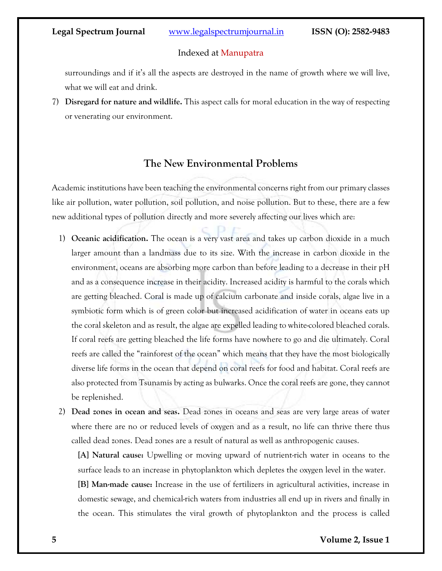#### Indexed at Manupatra

surroundings and if it's all the aspects are destroyed in the name of growth where we will live, what we will eat and drink.

7) **Disregard for nature and wildlife.** This aspect calls for moral education in the way of respecting or venerating our environment.

## **The New Environmental Problems**

Academic institutions have been teaching the environmental concerns right from our primary classes like air pollution, water pollution, soil pollution, and noise pollution. But to these, there are a few new additional types of pollution directly and more severely affecting our lives which are:

- 1) **Oceanic acidification.** The ocean is a very vast area and takes up carbon dioxide in a much larger amount than a landmass due to its size. With the increase in carbon dioxide in the environment, oceans are absorbing more carbon than before leading to a decrease in their pH and as a consequence increase in their acidity. Increased acidity is harmful to the corals which are getting bleached. Coral is made up of calcium carbonate and inside corals, algae live in a symbiotic form which is of green color but increased acidification of water in oceans eats up the coral skeleton and as result, the algae are expelled leading to white-colored bleached corals. If coral reefs are getting bleached the life forms have nowhere to go and die ultimately. Coral reefs are called the "rainforest of the ocean" which means that they have the most biologically diverse life forms in the ocean that depend on coral reefs for food and habitat. Coral reefs are also protected from Tsunamis by acting as bulwarks. Once the coral reefs are gone, they cannot be replenished.
- 2) **Dead zones in ocean and seas.** Dead zones in oceans and seas are very large areas of water where there are no or reduced levels of oxygen and as a result, no life can thrive there thus called dead zones. Dead zones are a result of natural as well as anthropogenic causes.

**[A] Natural cause:** Upwelling or moving upward of nutrient-rich water in oceans to the surface leads to an increase in phytoplankton which depletes the oxygen level in the water.

**[B] Man-made cause:** Increase in the use of fertilizers in agricultural activities, increase in domestic sewage, and chemical-rich waters from industries all end up in rivers and finally in the ocean. This stimulates the viral growth of phytoplankton and the process is called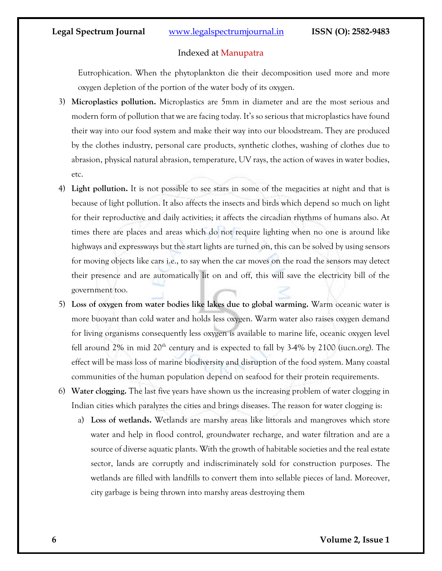#### Indexed at Manupatra

Eutrophication. When the phytoplankton die their decomposition used more and more oxygen depletion of the portion of the water body of its oxygen.

- 3) **Microplastics pollution.** Microplastics are 5mm in diameter and are the most serious and modern form of pollution that we are facing today. It's so serious that microplastics have found their way into our food system and make their way into our bloodstream. They are produced by the clothes industry, personal care products, synthetic clothes, washing of clothes due to abrasion, physical natural abrasion, temperature, UV rays, the action of waves in water bodies, etc.
- 4) **Light pollution.** It is not possible to see stars in some of the megacities at night and that is because of light pollution. It also affects the insects and birds which depend so much on light for their reproductive and daily activities; it affects the circadian rhythms of humans also. At times there are places and areas which do not require lighting when no one is around like highways and expressways but the start lights are turned on, this can be solved by using sensors for moving objects like cars i.e., to say when the car moves on the road the sensors may detect their presence and are automatically lit on and off, this will save the electricity bill of the government too.
- 5) **Loss of oxygen from water bodies like lakes due to global warming.** Warm oceanic water is more buoyant than cold water and holds less oxygen. Warm water also raises oxygen demand for living organisms consequently less oxygen is available to marine life, oceanic oxygen level fell around  $2\%$  in mid  $20<sup>th</sup>$  century and is expected to fall by  $3-4\%$  by  $2100$  (iucn.org). The effect will be mass loss of marine biodiversity and disruption of the food system. Many coastal communities of the human population depend on seafood for their protein requirements.
- 6) **Water clogging.** The last five years have shown us the increasing problem of water clogging in Indian cities which paralyzes the cities and brings diseases. The reason for water clogging is:
	- a) **Loss of wetlands.** Wetlands are marshy areas like littorals and mangroves which store water and help in flood control, groundwater recharge, and water filtration and are a source of diverse aquatic plants. With the growth of habitable societies and the real estate sector, lands are corruptly and indiscriminately sold for construction purposes. The wetlands are filled with landfills to convert them into sellable pieces of land. Moreover, city garbage is being thrown into marshy areas destroying them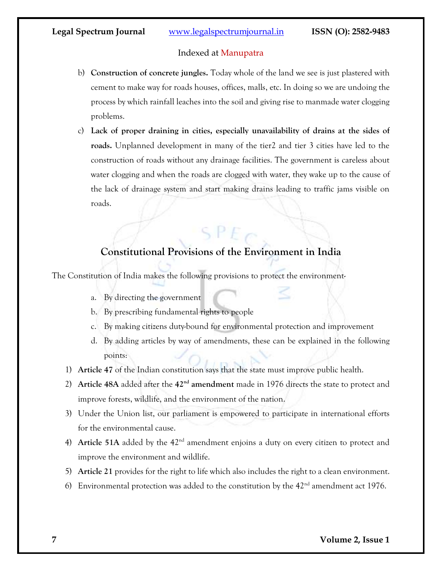## Indexed at Manupatra

- b) **Construction of concrete jungles.** Today whole of the land we see is just plastered with cement to make way for roads houses, offices, malls, etc. In doing so we are undoing the process by which rainfall leaches into the soil and giving rise to manmade water clogging problems.
- c) **Lack of proper draining in cities, especially unavailability of drains at the sides of roads.** Unplanned development in many of the tier2 and tier 3 cities have led to the construction of roads without any drainage facilities. The government is careless about water clogging and when the roads are clogged with water, they wake up to the cause of the lack of drainage system and start making drains leading to traffic jams visible on roads.

# **Constitutional Provisions of the Environment in India**

 $SPF$ 

The Constitution of India makes the following provisions to protect the environment-

- a. By directing the government
- b. By prescribing fundamental rights to people
- c. By making citizens duty-bound for environmental protection and improvement
- d. By adding articles by way of amendments, these can be explained in the following points:
- 1) **Article 47** of the Indian constitution says that the state must improve public health.
- 2) **Article 48A** added after the **42nd amendment** made in 1976 directs the state to protect and improve forests, wildlife, and the environment of the nation.
- 3) Under the Union list, our parliament is empowered to participate in international efforts for the environmental cause.
- 4) **Article 51A** added by the 42<sup>nd</sup> amendment enjoins a duty on every citizen to protect and improve the environment and wildlife.
- 5) **Article 21** provides for the right to life which also includes the right to a clean environment.
- 6) Environmental protection was added to the constitution by the  $42<sup>nd</sup>$  amendment act 1976.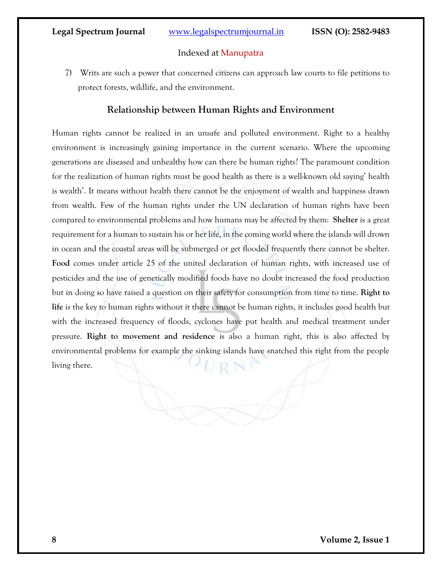### Indexed at Manupatra

7) Writs are such a power that concerned citizens can approach law courts to file petitions to protect forests, wildlife, and the environment.

## **Relationship between Human Rights and Environment**

Human rights cannot be realized in an unsafe and polluted environment. Right to a healthy environment is increasingly gaining importance in the current scenario. Where the upcoming generations are diseased and unhealthy how can there be human rights? The paramount condition for the realization of human rights must be good health as there is a well-known old saying' health is wealth'. It means without health there cannot be the enjoyment of wealth and happiness drawn from wealth. Few of the human rights under the UN declaration of human rights have been compared to environmental problems and how humans may be affected by them: **Shelter** is a great requirement for a human to sustain his or her life, in the coming world where the islands will drown in ocean and the coastal areas will be submerged or get flooded frequently there cannot be shelter. **Food** comes under article 25 of the united declaration of human rights, with increased use of pesticides and the use of genetically modified foods have no doubt increased the food production but in doing so have raised a question on their safety for consumption from time to time. **Right to life** is the key to human rights without it there cannot be human rights, it includes good health but with the increased frequency of floods, cyclones have put health and medical treatment under pressure. **Right to movement and residence** is also a human right, this is also affected by environmental problems for example the sinking islands have snatched this right from the people living there.